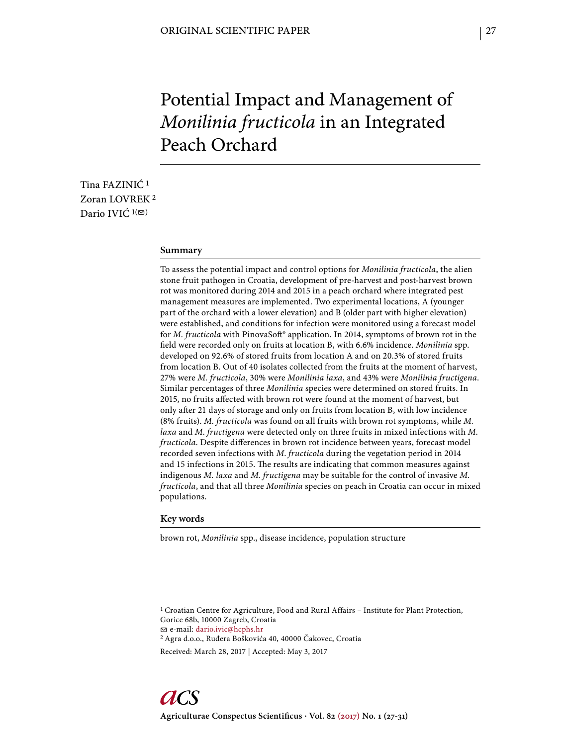# Potential Impact and Management of *Monilinia fructicola* in an Integrated Peach Orchard

Tina FAZINIĆ 1 Zoran LOVREK 2 Dario IVIĆ  $1(\mathfrak{D})$ 

#### **Summary**

To assess the potential impact and control options for *Monilinia fructicola*, the alien stone fruit pathogen in Croatia, development of pre-harvest and post-harvest brown rot was monitored during 2014 and 2015 in a peach orchard where integrated pest management measures are implemented. Two experimental locations, A (younger part of the orchard with a lower elevation) and B (older part with higher elevation) were established, and conditions for infection were monitored using a forecast model for *M. fructicola* with PinovaSoft<sup>®</sup> application. In 2014, symptoms of brown rot in the field were recorded only on fruits at location B, with 6.6% incidence. *Monilinia* spp. developed on 92.6% of stored fruits from location A and on 20.3% of stored fruits from location B. Out of 40 isolates collected from the fruits at the moment of harvest, 27% were *M. fructicola*, 30% were *Monilinia laxa*, and 43% were *Monilinia fructigena*. Similar percentages of three *Monilinia* species were determined on stored fruits. In 2015, no fruits affected with brown rot were found at the moment of harvest, but only after 21 days of storage and only on fruits from location B, with low incidence (8% fruits). *M. fructicola* was found on all fruits with brown rot symptoms, while *M. laxa* and *M*. *fructigena* were detected only on three fruits in mixed infections with *M*. *fructicola*. Despite differences in brown rot incidence between years, forecast model recorded seven infections with *M*. *fructicola* during the vegetation period in 2014 and 15 infections in 2015. The results are indicating that common measures against indigenous *M. laxa* and *M. fructigena* may be suitable for the control of invasive *M. fructicola*, and that all three *Monilinia* species on peach in Croatia can occur in mixed populations.

#### **Key words**

brown rot, *Monilinia* spp., disease incidence, population structure

<sup>1</sup> Croatian Centre for Agriculture, Food and Rural Affairs - Institute for Plant Protection, Gorice 68b, 10000 Zagreb, Croatia e-mail: dario.ivic@hcphs.hr

2 Agra d.o.o., Ruđera Boškovića 40, 40000 Čakovec, Croatia

Received: March 28, 2017 | Accepted: May 3, 2017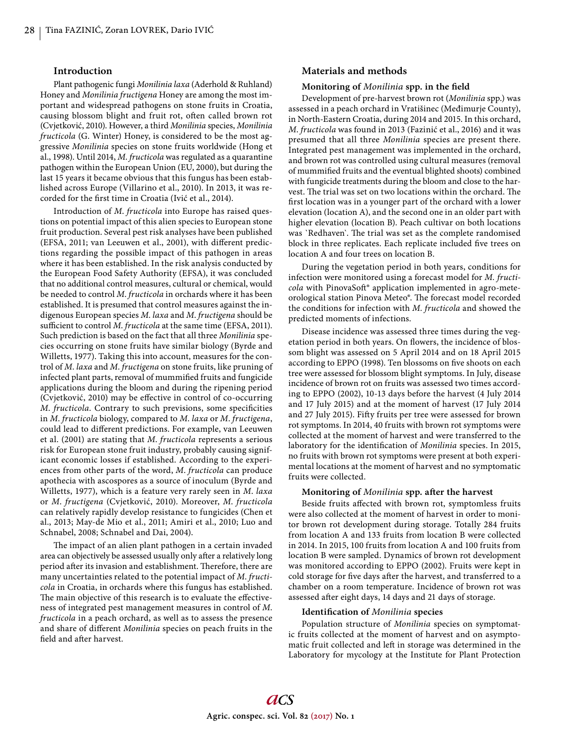#### **Introduction**

Plant pathogenic fungi *Monilinia laxa* (Aderhold & Ruhland) Honey and *Monilinia fructigena* Honey are among the most important and widespread pathogens on stone fruits in Croatia, causing blossom blight and fruit rot, often called brown rot (Cvjetković, 2010). However, a third *Monilinia* species, *Monilinia fructicola* (G. Winter) Honey, is considered to be the most aggressive *Monilinia* species on stone fruits worldwide (Hong et al., 1998). Until 2014, *M*. *fructicola* was regulated as a quarantine pathogen within the European Union (EU, 2000), but during the last 15 years it became obvious that this fungus has been established across Europe (Villarino et al., 2010). In 2013, it was recorded for the first time in Croatia (Ivić et al., 2014).

Introduction of *M*. *fructicola* into Europe has raised questions on potential impact of this alien species to European stone fruit production. Several pest risk analyses have been published (EFSA, 2011; van Leeuwen et al., 2001), with different predictions regarding the possible impact of this pathogen in areas where it has been established. In the risk analysis conducted by the European Food Safety Authority (EFSA), it was concluded that no additional control measures, cultural or chemical, would be needed to control *M*. *fructicola* in orchards where it has been established. It is presumed that control measures against the indigenous European species *M*. *laxa* and *M*. *fructigena* should be sufficient to control *M. fructicola* at the same time (EFSA, 2011). Such prediction is based on the fact that all three *Monilinia* species occurring on stone fruits have similar biology (Byrde and Willetts, 1977). Taking this into account, measures for the control of *M*. *laxa* and *M*. *fructigena* on stone fruits, like pruning of infected plant parts, removal of mummified fruits and fungicide applications during the bloom and during the ripening period (Cvjetković, 2010) may be effective in control of co-occurring *M. fructicola.* Contrary to such previsions, some specificities in *M*. *fructicola* biology, compared to *M*. *laxa* or *M*. *fructigena*, could lead to different predictions. For example, van Leeuwen et al. (2001) are stating that *M*. *fructicola* represents a serious risk for European stone fruit industry, probably causing significant economic losses if established. According to the experiences from other parts of the word, *M*. *fructicola* can produce apothecia with ascospores as a source of inoculum (Byrde and Willetts, 1977), which is a feature very rarely seen in *M*. *laxa* or *M*. *fructigena* (Cvjetković, 2010). Moreover, *M*. *fructicola* can relatively rapidly develop resistance to fungicides (Chen et al., 2013; May-de Mio et al., 2011; Amiri et al., 2010; Luo and Schnabel, 2008; Schnabel and Dai, 2004).

The impact of an alien plant pathogen in a certain invaded area can objectively be assessed usually only after a relatively long period after its invasion and establishment. Therefore, there are many uncertainties related to the potential impact of *M*. *fructicola* in Croatia, in orchards where this fungus has established. The main objective of this research is to evaluate the effectiveness of integrated pest management measures in control of *M*. *fructicola* in a peach orchard, as well as to assess the presence and share of different *Monilinia* species on peach fruits in the field and after harvest.

### **Materials and methods**

## **Monitoring of** *Monilinia* **spp. in the field**

Development of pre-harvest brown rot (*Monilinia* spp.) was assessed in a peach orchard in Vratišinec (Međimurje County), in North-Eastern Croatia, during 2014 and 2015. In this orchard, *M*. *fructicola* was found in 2013 (Fazinić et al., 2016) and it was presumed that all three *Monilinia* species are present there. Integrated pest management was implemented in the orchard, and brown rot was controlled using cultural measures (removal of mummified fruits and the eventual blighted shoots) combined with fungicide treatments during the bloom and close to the harvest. The trial was set on two locations within the orchard. The first location was in a younger part of the orchard with a lower elevation (location A), and the second one in an older part with higher elevation (location B). Peach cultivar on both locations was 'Redhaven'. The trial was set as the complete randomised block in three replicates. Each replicate included five trees on location A and four trees on location B.

During the vegetation period in both years, conditions for infection were monitored using a forecast model for *M. fructicola* with PinovaSoft<sup>®</sup> application implemented in agro-meteorological station Pinova Meteo®. The forecast model recorded the conditions for infection with *M. fructicola* and showed the predicted moments of infections.

Disease incidence was assessed three times during the vegetation period in both years. On flowers, the incidence of blossom blight was assessed on 5 April 2014 and on 18 April 2015 according to EPPO (1998). Ten blossoms on five shoots on each tree were assessed for blossom blight symptoms. In July, disease incidence of brown rot on fruits was assessed two times according to EPPO (2002), 10-13 days before the harvest (4 July 2014 and 17 July 2015) and at the moment of harvest (17 July 2014 and 27 July 2015). Fifty fruits per tree were assessed for brown rot symptoms. In 2014, 40 fruits with brown rot symptoms were collected at the moment of harvest and were transferred to the laboratory for the identification of *Monilinia* species. In 2015, no fruits with brown rot symptoms were present at both experimental locations at the moment of harvest and no symptomatic fruits were collected.

## **Monitoring of** *Monilinia* **spp. after the harvest**

Beside fruits affected with brown rot, symptomless fruits were also collected at the moment of harvest in order to monitor brown rot development during storage. Totally 284 fruits from location A and 133 fruits from location B were collected in 2014. In 2015, 100 fruits from location A and 100 fruits from location B were sampled. Dynamics of brown rot development was monitored according to EPPO (2002). Fruits were kept in cold storage for five days after the harvest, and transferred to a chamber on a room temperature. Incidence of brown rot was assessed after eight days, 14 days and 21 days of storage.

#### **Identifi cation of** *Monilinia* **species**

Population structure of *Monilinia* species on symptomatic fruits collected at the moment of harvest and on asymptomatic fruit collected and left in storage was determined in the Laboratory for mycology at the Institute for Plant Protection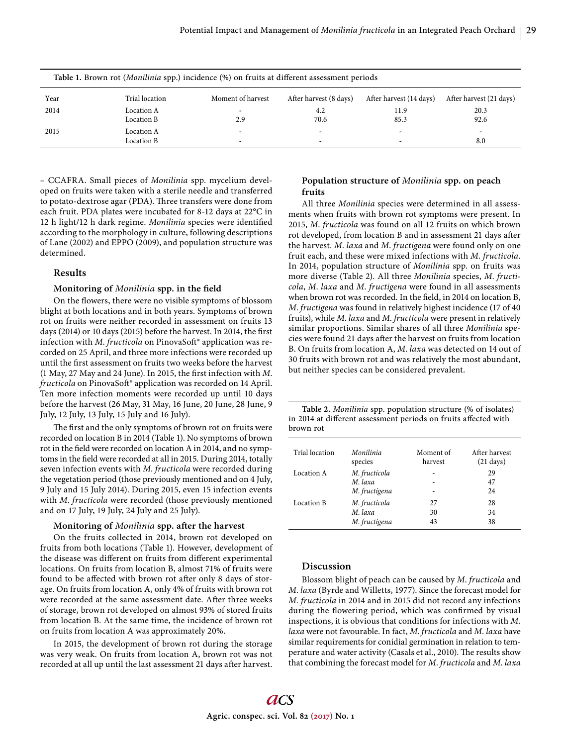| Table 1. Brown rot ( <i>Monilinia</i> spp.) incidence (%) on fruits at different assessment periods |                          |                   |                                                      |                         |                         |  |  |
|-----------------------------------------------------------------------------------------------------|--------------------------|-------------------|------------------------------------------------------|-------------------------|-------------------------|--|--|
| Year                                                                                                | Trial location           | Moment of harvest | After harvest (8 days)                               | After harvest (14 days) | After harvest (21 days) |  |  |
| 2014                                                                                                | Location A<br>Location B | 2.9               | 4.2<br>70.6                                          | 11.9<br>85.3            | 20.3<br>92.6            |  |  |
| 2015                                                                                                | Location A<br>Location B | -                 | $\overline{\phantom{0}}$<br>$\overline{\phantom{0}}$ | -                       | ٠<br>8.0                |  |  |

– CCAFRA. Small pieces of *Monilinia* spp. mycelium developed on fruits were taken with a sterile needle and transferred to potato-dextrose agar (PDA). Three transfers were done from each fruit. PDA plates were incubated for 8-12 days at 22°C in 12 h light/12 h dark regime. *Monilinia* species were identified according to the morphology in culture, following descriptions of Lane (2002) and EPPO (2009), and population structure was determined.

## **Results**

# **Monitoring of** *Monilinia* **spp. in the field**

On the flowers, there were no visible symptoms of blossom blight at both locations and in both years. Symptoms of brown rot on fruits were neither recorded in assessment on fruits 13 days (2014) or 10 days (2015) before the harvest. In 2014, the first infection with *M. fructicola* on PinovaSoft® application was recorded on 25 April, and three more infections were recorded up until the first assessment on fruits two weeks before the harvest (1 May, 27 May and 24 June). In 2015, the first infection with *M*. *fructicola* on PinovaSoft® application was recorded on 14 April. Ten more infection moments were recorded up until 10 days before the harvest (26 May, 31 May, 16 June, 20 June, 28 June, 9 July, 12 July, 13 July, 15 July and 16 July).

The first and the only symptoms of brown rot on fruits were recorded on location B in 2014 (Table 1). No symptoms of brown rot in the field were recorded on location A in 2014, and no symptoms in the field were recorded at all in 2015. During 2014, totally seven infection events with *M*. *fructicola* were recorded during the vegetation period (those previously mentioned and on 4 July, 9 July and 15 July 2014). During 2015, even 15 infection events with *M*. *fructicola* were recorded (those previously mentioned and on 17 July, 19 July, 24 July and 25 July).

#### **Monitoring of** *Monilinia* **spp. after the harvest**

On the fruits collected in 2014, brown rot developed on fruits from both locations (Table 1). However, development of the disease was different on fruits from different experimental locations. On fruits from location B, almost 71% of fruits were found to be affected with brown rot after only 8 days of storage. On fruits from location A, only 4% of fruits with brown rot were recorded at the same assessment date. After three weeks of storage, brown rot developed on almost 93% of stored fruits from location B. At the same time, the incidence of brown rot on fruits from location A was approximately 20%.

In 2015, the development of brown rot during the storage was very weak. On fruits from location A, brown rot was not recorded at all up until the last assessment 21 days after harvest.

# **Population structure of** *Monilinia* **spp. on peach fruits**

All three *Monilinia* species were determined in all assessments when fruits with brown rot symptoms were present. In 2015, *M*. *fructicola* was found on all 12 fruits on which brown rot developed, from location B and in assessment 21 days after the harvest. *M*. *laxa* and *M*. *fructigena* were found only on one fruit each, and these were mixed infections with *M*. *fructicola*. In 2014, population structure of *Monilinia* spp. on fruits was more diverse (Table 2). All three *Monilinia* species, *M*. *fructicola*, *M*. *laxa* and *M*. *fructigena* were found in all assessments when brown rot was recorded. In the field, in 2014 on location B, *M*. *fructigena* was found in relatively highest incidence (17 of 40 fruits), while *M*. *laxa* and *M*. *fructicola* were present in relatively similar proportions. Similar shares of all three *Monilinia* species were found 21 days after the harvest on fruits from location B. On fruits from location A, *M*. *laxa* was detected on 14 out of 30 fruits with brown rot and was relatively the most abundant, but neither species can be considered prevalent.

**Table 2.** *Monilinia* spp. population structure (% of isolates) in 2014 at different assessment periods on fruits affected with brown rot

| Trial location | Monilinia                                 | Moment of | After harvest       |
|----------------|-------------------------------------------|-----------|---------------------|
|                | species                                   | harvest   | $(21 \text{ days})$ |
| Location A     | M. fructicola<br>M. laxa<br>M. fructigena |           | 29<br>47<br>24      |
| Location B     | M. fructicola                             | 27        | 28                  |
|                | M. laxa                                   | 30        | 34                  |
|                | M. fructigena                             | 43        | 38                  |

## **Discussion**

Blossom blight of peach can be caused by *M*. *fructicola* and *M*. *laxa* (Byrde and Willetts, 1977). Since the forecast model for *M. fructicola* in 2014 and in 2015 did not record any infections during the flowering period, which was confirmed by visual inspections, it is obvious that conditions for infections with *M. laxa* were not favourable. In fact, *M*. *fructicola* and *M*. *laxa* have similar requirements for conidial germination in relation to temperature and water activity (Casals et al., 2010). The results show that combining the forecast model for *M*. *fructicola* and *M*. *laxa*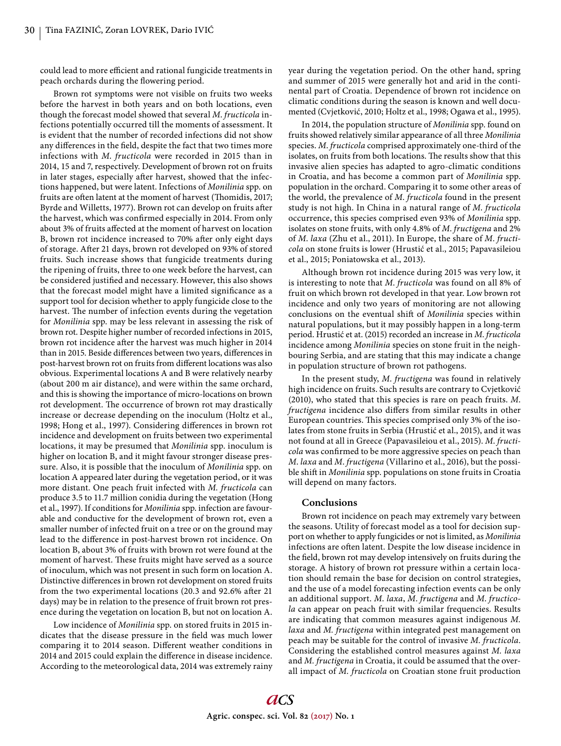could lead to more efficient and rational fungicide treatments in peach orchards during the flowering period.

Brown rot symptoms were not visible on fruits two weeks before the harvest in both years and on both locations, even though the forecast model showed that several *M*. *fructicola* infections potentially occurred till the moments of assessment. It is evident that the number of recorded infections did not show any differences in the field, despite the fact that two times more infections with *M*. *fructicola* were recorded in 2015 than in 2014, 15 and 7, respectively. Development of brown rot on fruits in later stages, especially after harvest, showed that the infections happened, but were latent. Infections of *Monilinia* spp. on fruits are often latent at the moment of harvest (Thomidis, 2017; Byrde and Willetts, 1977). Brown rot can develop on fruits after the harvest, which was confirmed especially in 2014. From only about 3% of fruits affected at the moment of harvest on location B, brown rot incidence increased to 70% after only eight days of storage. After 21 days, brown rot developed on 93% of stored fruits. Such increase shows that fungicide treatments during the ripening of fruits, three to one week before the harvest, can be considered justified and necessary. However, this also shows that the forecast model might have a limited significance as a support tool for decision whether to apply fungicide close to the harvest. The number of infection events during the vegetation for *Monilinia* spp. may be less relevant in assessing the risk of brown rot. Despite higher number of recorded infections in 2015, brown rot incidence after the harvest was much higher in 2014 than in 2015. Beside differences between two years, differences in post-harvest brown rot on fruits from different locations was also obvious. Experimental locations A and B were relatively nearby (about 200 m air distance), and were within the same orchard, and this is showing the importance of micro-locations on brown rot development. The occurrence of brown rot may drastically increase or decrease depending on the inoculum (Holtz et al., 1998; Hong et al., 1997). Considering differences in brown rot incidence and development on fruits between two experimental locations, it may be presumed that *Monilinia* spp. inoculum is higher on location B, and it might favour stronger disease pressure. Also, it is possible that the inoculum of *Monilinia* spp. on location A appeared later during the vegetation period, or it was more distant. One peach fruit infected with *M. fructicola* can produce 3.5 to 11.7 million conidia during the vegetation (Hong et al., 1997). If conditions for *Monilinia* spp. infection are favourable and conductive for the development of brown rot, even a smaller number of infected fruit on a tree or on the ground may lead to the difference in post-harvest brown rot incidence. On location B, about 3% of fruits with brown rot were found at the moment of harvest. These fruits might have served as a source of inoculum, which was not present in such form on location A. Distinctive differences in brown rot development on stored fruits from the two experimental locations (20.3 and 92.6% after 21 days) may be in relation to the presence of fruit brown rot presence during the vegetation on location B, but not on location A.

Low incidence of *Monilinia* spp. on stored fruits in 2015 indicates that the disease pressure in the field was much lower comparing it to 2014 season. Different weather conditions in 2014 and 2015 could explain the difference in disease incidence. According to the meteorological data, 2014 was extremely rainy year during the vegetation period. On the other hand, spring and summer of 2015 were generally hot and arid in the continental part of Croatia. Dependence of brown rot incidence on climatic conditions during the season is known and well documented (Cvjetković, 2010; Holtz et al., 1998; Ogawa et al., 1995).

In 2014, the population structure of *Monilinia* spp. found on fruits showed relatively similar appearance of all three *Monilinia* species. *M*. *fructicola* comprised approximately one-third of the isolates, on fruits from both locations. The results show that this invasive alien species has adapted to agro-climatic conditions in Croatia, and has become a common part of *Monilinia* spp. population in the orchard. Comparing it to some other areas of the world, the prevalence of *M*. *fructicola* found in the present study is not high. In China in a natural range of *M*. *fructicola* occurrence, this species comprised even 93% of *Monilinia* spp. isolates on stone fruits, with only 4.8% of *M*. *fructigena* and 2% of *M*. *laxa* (Zhu et al., 2011). In Europe, the share of *M*. *fructicola* on stone fruits is lower (Hrustić et al., 2015; Papavasileiou et al., 2015; Poniatowska et al., 2013).

Although brown rot incidence during 2015 was very low, it is interesting to note that *M*. *fructicola* was found on all 8% of fruit on which brown rot developed in that year. Low brown rot incidence and only two years of monitoring are not allowing conclusions on the eventual shift of *Monilinia* species within natural populations, but it may possibly happen in a long-term period. Hrustić et at. (2015) recorded an increase in *M*. *fructicola*  incidence among *Monilinia* species on stone fruit in the neighbouring Serbia, and are stating that this may indicate a change in population structure of brown rot pathogens.

In the present study, *M*. *fructigena* was found in relatively high incidence on fruits. Such results are contrary to Cvjetković (2010), who stated that this species is rare on peach fruits. *M*. *fructigena* incidence also differs from similar results in other European countries. This species comprised only 3% of the isolates from stone fruits in Serbia (Hrustić et al., 2015), and it was not found at all in Greece (Papavasileiou et al., 2015). *M*. *fructicola* was confirmed to be more aggressive species on peach than *M*. *laxa* and *M*. *fructigena* (Villarino et al., 2016), but the possible shift in *Monilinia* spp. populations on stone fruits in Croatia will depend on many factors.

## **Conclusions**

Brown rot incidence on peach may extremely vary between the seasons. Utility of forecast model as a tool for decision support on whether to apply fungicides or not is limited, as *Monilinia* infections are often latent. Despite the low disease incidence in the field, brown rot may develop intensively on fruits during the storage. A history of brown rot pressure within a certain location should remain the base for decision on control strategies, and the use of a model forecasting infection events can be only an additional support. *M*. *laxa*, *M*. *fructigena* and *M*. *fructicola* can appear on peach fruit with similar frequencies. Results are indicating that common measures against indigenous *M. laxa* and *M. fructigena* within integrated pest management on peach may be suitable for the control of invasive *M. fructicola*. Considering the established control measures against *M. laxa* and *M. fructigena* in Croatia, it could be assumed that the overall impact of *M. fructicola* on Croatian stone fruit production